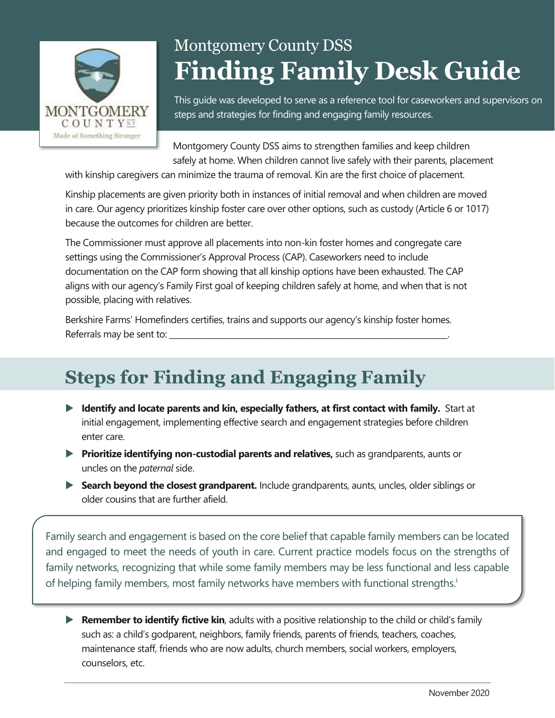

# Montgomery County DSS **Finding Family Desk Guide**

This guide was developed to serve as a reference tool for caseworkers and supervisors on steps and strategies for finding and engaging family resources.

Montgomery County DSS aims to strengthen families and keep children safely at home. When children cannot live safely with their parents, placement

with kinship caregivers can minimize the trauma of removal. Kin are the first choice of placement.

Kinship placements are given priority both in instances of initial removal and when children are moved in care. Our agency prioritizes kinship foster care over other options, such as custody (Article 6 or 1017) because the outcomes for children are better.

The Commissioner must approve all placements into non-kin foster homes and congregate care settings using the Commissioner's Approval Process (CAP). Caseworkers need to include documentation on the CAP form showing that all kinship options have been exhausted. The CAP aligns with our agency's Family First goal of keeping children safely at home, and when that is not possible, placing with relatives.

Berkshire Farms' Homefinders certifies, trains and supports our agency's kinship foster homes. Referrals may be sent to:

## **Steps for Finding and Engaging Family**

- **Identify and locate parents and kin, especially fathers, at first contact with family.** Start at initial engagement, implementing effective search and engagement strategies before children enter care.
- **Prioritize identifying non-custodial parents and relatives,** such as grandparents, aunts or uncles on the *paternal* side.
- **Search beyond the closest grandparent.** Include grandparents, aunts, uncles, older siblings or older cousins that are further afield.

Family search and engagement is based on the core belief that capable family members can be located and engaged to meet the needs of youth in care. Current practice models focus on the strengths of family networks, recognizing that while some family members may be less functional and less capable of helping family members, most family networks have members with functional strengths.<sup>i</sup>

**Remember to identify fictive kin**, adults with a positive relationship to the child or child's family such as: a child's godparent, neighbors, family friends, parents of friends, teachers, coaches, maintenance staff, friends who are now adults, church members, social workers, employers, counselors, etc.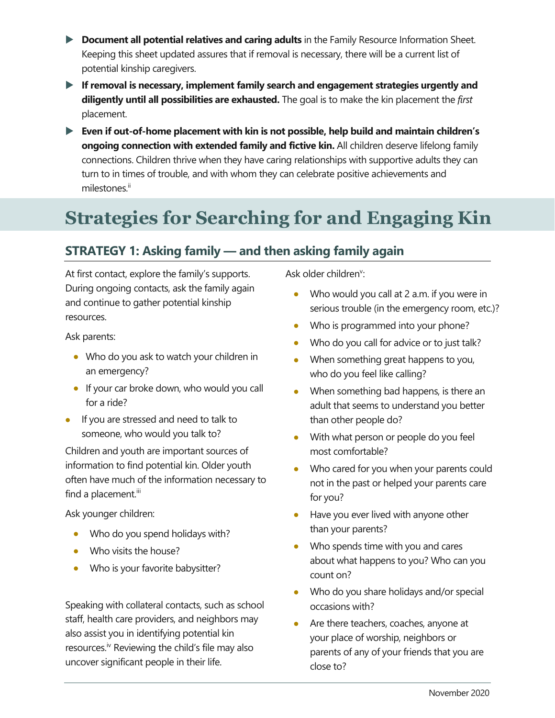- **Document all potential relatives and caring adults** in the Family Resource Information Sheet. Keeping this sheet updated assures that if removal is necessary, there will be a current list of potential kinship caregivers.
- **If removal is necessary, implement family search and engagement strategies urgently and diligently until all possibilities are exhausted.** The goal is to make the kin placement the *first*  placement.
- **Even if out-of-home placement with kin is not possible, help build and maintain children's ongoing connection with extended family and fictive kin.** All children deserve lifelong family connections. Children thrive when they have caring relationships with supportive adults they can turn to in times of trouble, and with whom they can celebrate positive achievements and milestones<sup>ii</sup>

## **Strategies for Searching for and Engaging Kin**

### **STRATEGY 1: Asking family — and then asking family again**

At first contact, explore the family's supports. During ongoing contacts, ask the family again and continue to gather potential kinship resources.

Ask parents:

- Who do you ask to watch your children in an emergency?
- **If your car broke down, who would you call** for a ride?
- **If you are stressed and need to talk to** someone, who would you talk to?

Children and youth are important sources of information to find potential kin. Older youth often have much of the information necessary to find a placement.<sup>iii</sup>

Ask younger children:

- Who do you spend holidays with?
- Who visits the house?
- Who is your favorite babysitter?

Speaking with collateral contacts, such as school staff, health care providers, and neighbors may also assist you in identifying potential kin resources.<sup>iv</sup> Reviewing the child's file may also uncover significant people in their life.

Ask older children<sup>v</sup>:

- Who would you call at 2 a.m. if you were in serious trouble (in the emergency room, etc.)?
- Who is programmed into your phone?
- Who do you call for advice or to just talk?
- When something great happens to you, who do you feel like calling?
- When something bad happens, is there an adult that seems to understand you better than other people do?
- With what person or people do you feel most comfortable?
- Who cared for you when your parents could not in the past or helped your parents care for you?
- Have you ever lived with anyone other than your parents?
- Who spends time with you and cares about what happens to you? Who can you count on?
- Who do you share holidays and/or special occasions with?
- Are there teachers, coaches, anyone at your place of worship, neighbors or parents of any of your friends that you are close to?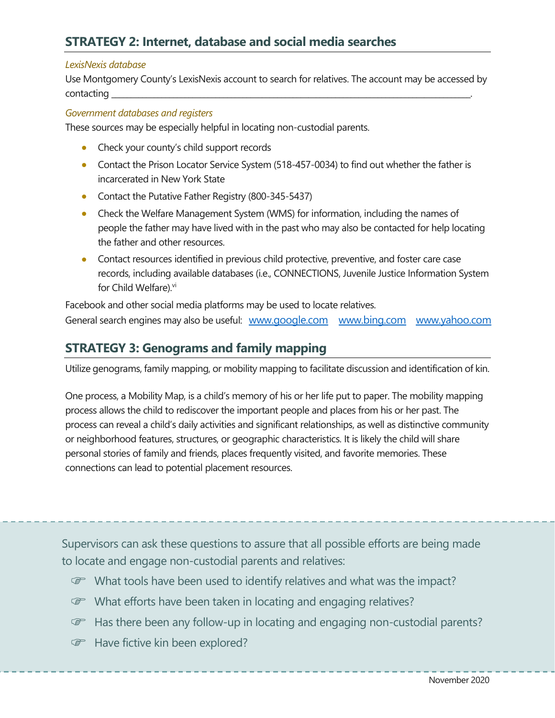### **STRATEGY 2: Internet, database and social media searches**

#### *LexisNexis database*

Use Montgomery County's LexisNexis account to search for relatives. The account may be accessed by contacting

#### *Government databases and registers*

These sources may be especially helpful in locating non-custodial parents.

- Check your county's child support records
- Contact the Prison Locator Service System (518-457-0034) to find out whether the father is incarcerated in New York State
- Contact the Putative Father Registry (800-345-5437)
- Check the Welfare Management System (WMS) for information, including the names of people the father may have lived with in the past who may also be contacted for help locating the father and other resources.
- **Contact resources identified in previous child protective, preventive, and foster care case** records, including available databases (i.e., CONNECTIONS, Juvenile Justice Information System for Child Welfare).<sup>vi</sup>

Facebook and other social media platforms may be used to locate relatives. General search engines may also be useful: [www.google.com](http://www.google.com/) [www.bing.com](http://www.bing.com/) [www.yahoo.com](http://www.yahoo.com/)

#### **STRATEGY 3: Genograms and family mapping**

Utilize genograms, family mapping, or mobility mapping to facilitate discussion and identification of kin.

One process, a Mobility Map, is a child's memory of his or her life put to paper. The mobility mapping process allows the child to rediscover the important people and places from his or her past. The process can reveal a child's daily activities and significant relationships, as well as distinctive community or neighborhood features, structures, or geographic characteristics. It is likely the child will share personal stories of family and friends, places frequently visited, and favorite memories. These connections can lead to potential placement resources.

Supervisors can ask these questions to assure that all possible efforts are being made to locate and engage non-custodial parents and relatives:

- What tools have been used to identify relatives and what was the impact?
- What efforts have been taken in locating and engaging relatives?
- **EXECUTE:** Has there been any follow-up in locating and engaging non-custodial parents?
- **F** Have fictive kin been explored?